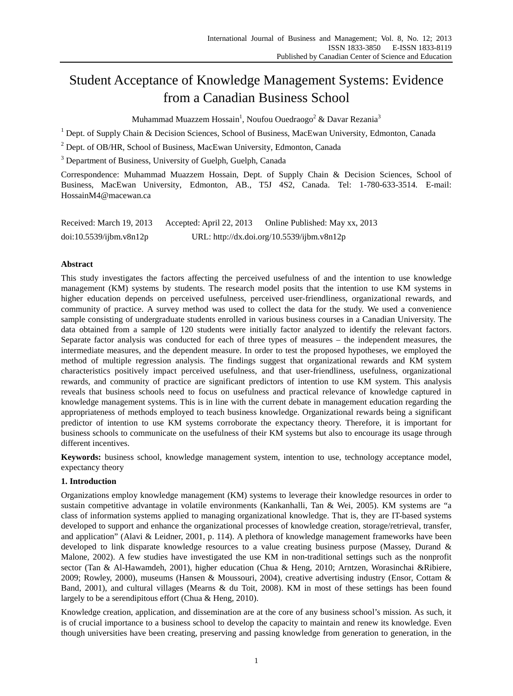# Student Acceptance of Knowledge Management Systems: Evidence from a Canadian Business School

Muhammad Muazzem Hossain<sup>1</sup>, Noufou Ouedraogo<sup>2</sup> & Davar Rezania<sup>3</sup>

 $1$  Dept. of Supply Chain & Decision Sciences, School of Business, MacEwan University, Edmonton, Canada

<sup>2</sup> Dept. of OB/HR, School of Business, MacEwan University, Edmonton, Canada

<sup>3</sup> Department of Business, University of Guelph, Guelph, Canada

Correspondence: Muhammad Muazzem Hossain, Dept. of Supply Chain & Decision Sciences, School of Business, MacEwan University, Edmonton, AB., T5J 4S2, Canada. Tel: 1-780-633-3514. E-mail: HossainM4@macewan.ca

| Received: March 19, 2013 | Accepted: April 22, 2013 | Online Published: May xx, 2013             |
|--------------------------|--------------------------|--------------------------------------------|
| doi:10.5539/jbm.v8n12p   |                          | URL: http://dx.doi.org/10.5539/ijbm.v8n12p |

# **Abstract**

This study investigates the factors affecting the perceived usefulness of and the intention to use knowledge management (KM) systems by students. The research model posits that the intention to use KM systems in higher education depends on perceived usefulness, perceived user-friendliness, organizational rewards, and community of practice. A survey method was used to collect the data for the study. We used a convenience sample consisting of undergraduate students enrolled in various business courses in a Canadian University. The data obtained from a sample of 120 students were initially factor analyzed to identify the relevant factors. Separate factor analysis was conducted for each of three types of measures – the independent measures, the intermediate measures, and the dependent measure. In order to test the proposed hypotheses, we employed the method of multiple regression analysis. The findings suggest that organizational rewards and KM system characteristics positively impact perceived usefulness, and that user-friendliness, usefulness, organizational rewards, and community of practice are significant predictors of intention to use KM system. This analysis reveals that business schools need to focus on usefulness and practical relevance of knowledge captured in knowledge management systems. This is in line with the current debate in management education regarding the appropriateness of methods employed to teach business knowledge. Organizational rewards being a significant predictor of intention to use KM systems corroborate the expectancy theory. Therefore, it is important for business schools to communicate on the usefulness of their KM systems but also to encourage its usage through different incentives.

**Keywords:** business school, knowledge management system, intention to use, technology acceptance model, expectancy theory

# **1. Introduction**

Organizations employ knowledge management (KM) systems to leverage their knowledge resources in order to sustain competitive advantage in volatile environments (Kankanhalli, Tan & Wei, 2005). KM systems are "a class of information systems applied to managing organizational knowledge. That is, they are IT-based systems developed to support and enhance the organizational processes of knowledge creation, storage/retrieval, transfer, and application" (Alavi & Leidner, 2001, p. 114). A plethora of knowledge management frameworks have been developed to link disparate knowledge resources to a value creating business purpose (Massey, Durand & Malone, 2002). A few studies have investigated the use KM in non-traditional settings such as the nonprofit sector (Tan & Al-Hawamdeh, 2001), higher education (Chua & Heng, 2010; Arntzen, Worasinchai &Ribiere, 2009; Rowley, 2000), museums (Hansen & Moussouri, 2004), creative advertising industry (Ensor, Cottam & Band, 2001), and cultural villages (Mearns & du Toit, 2008). KM in most of these settings has been found largely to be a serendipitous effort (Chua & Heng, 2010).

Knowledge creation, application, and dissemination are at the core of any business school's mission. As such, it is of crucial importance to a business school to develop the capacity to maintain and renew its knowledge. Even though universities have been creating, preserving and passing knowledge from generation to generation, in the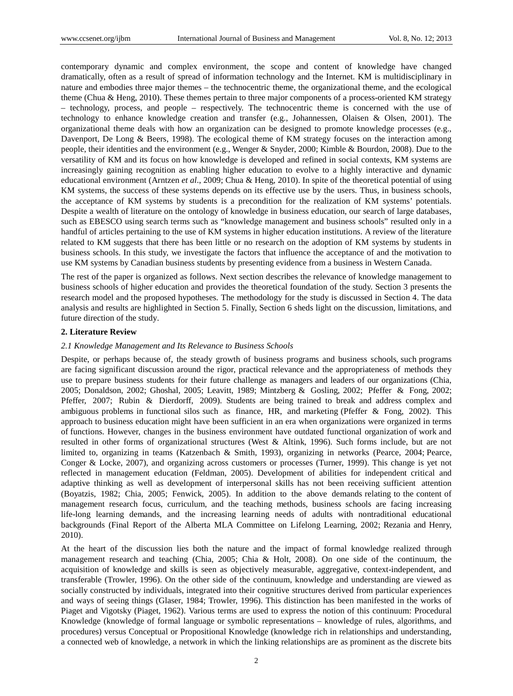contemporary dynamic and complex environment, the scope and content of knowledge have changed dramatically, often as a result of spread of information technology and the Internet. KM is multidisciplinary in nature and embodies three major themes – the technocentric theme, the organizational theme, and the ecological theme (Chua & Heng, 2010). These themes pertain to three major components of a process-oriented KM strategy – technology, process, and people – respectively. The technocentric theme is concerned with the use of technology to enhance knowledge creation and transfer (e.g., Johannessen, Olaisen & Olsen, 2001). The organizational theme deals with how an organization can be designed to promote knowledge processes (e.g., Davenport, De Long & Beers, 1998). The ecological theme of KM strategy focuses on the interaction among people, their identities and the environment (e.g., Wenger & Snyder, 2000; Kimble & Bourdon, 2008). Due to the versatility of KM and its focus on how knowledge is developed and refined in social contexts, KM systems are increasingly gaining recognition as enabling higher education to evolve to a highly interactive and dynamic educational environment (Arntzen *et al*., 2009; Chua & Heng, 2010). In spite of the theoretical potential of using KM systems, the success of these systems depends on its effective use by the users. Thus, in business schools, the acceptance of KM systems by students is a precondition for the realization of KM systems' potentials. Despite a wealth of literature on the ontology of knowledge in business education, our search of large databases, such as EBESCO using search terms such as "knowledge management and business schools" resulted only in a handful of articles pertaining to the use of KM systems in higher education institutions. A review of the literature related to KM suggests that there has been little or no research on the adoption of KM systems by students in business schools. In this study, we investigate the factors that influence the acceptance of and the motivation to use KM systems by Canadian business students by presenting evidence from a business in Western Canada.

The rest of the paper is organized as follows. Next section describes the relevance of knowledge management to business schools of higher education and provides the theoretical foundation of the study. Section 3 presents the research model and the proposed hypotheses. The methodology for the study is discussed in Section 4. The data analysis and results are highlighted in Section 5. Finally, Section 6 sheds light on the discussion, limitations, and future direction of the study.

# **2. Literature Review**

### *2.1 Knowledge Management and Its Relevance to Business Schools*

Despite, or perhaps because of, the steady growth of business programs and business schools, such programs are facing significant discussion around the rigor, practical relevance and the appropriateness of methods they use to prepare business students for their future challenge as managers and leaders of our organizations (Chia, 2005; Donaldson, 2002; Ghoshal, 2005; Leavitt, 1989; Mintzberg & Gosling, 2002; Pfeffer & Fong, 2002; Pfeffer, 2007; Rubin & Dierdorff, 2009). Students are being trained to break and address complex and ambiguous problems in functional silos such as finance, HR, and marketing (Pfeffer & Fong, 2002). This approach to business education might have been sufficient in an era when organizations were organized in terms of functions. However, changes in the business environment have outdated functional organization of work and resulted in other forms of organizational structures (West & Altink, 1996). Such forms include, but are not limited to, organizing in teams (Katzenbach & Smith, 1993), organizing in networks (Pearce, 2004; Pearce, Conger & Locke, 2007), and organizing across customers or processes (Turner, 1999). This change is yet not reflected in management education (Feldman, 2005). Development of abilities for independent critical and adaptive thinking as well as development of interpersonal skills has not been receiving sufficient attention (Boyatzis, 1982; Chia, 2005; Fenwick, 2005). In addition to the above demands relating to the content of management research focus, curriculum, and the teaching methods, business schools are facing increasing life-long learning demands, and the increasing learning needs of adults with nontraditional educational backgrounds (Final Report of the Alberta MLA Committee on Lifelong Learning, 2002; Rezania and Henry, 2010).

At the heart of the discussion lies both the nature and the impact of formal knowledge realized through management research and teaching (Chia, 2005; Chia & Holt, 2008). On one side of the continuum, the acquisition of knowledge and skills is seen as objectively measurable, aggregative, context-independent, and transferable (Trowler, 1996). On the other side of the continuum, knowledge and understanding are viewed as socially constructed by individuals, integrated into their cognitive structures derived from particular experiences and ways of seeing things (Glaser, 1984; Trowler, 1996). This distinction has been manifested in the works of Piaget and Vigotsky (Piaget, 1962). Various terms are used to express the notion of this continuum: Procedural Knowledge (knowledge of formal language or symbolic representations – knowledge of rules, algorithms, and procedures) versus Conceptual or Propositional Knowledge (knowledge rich in relationships and understanding, a connected web of knowledge, a network in which the linking relationships are as prominent as the discrete bits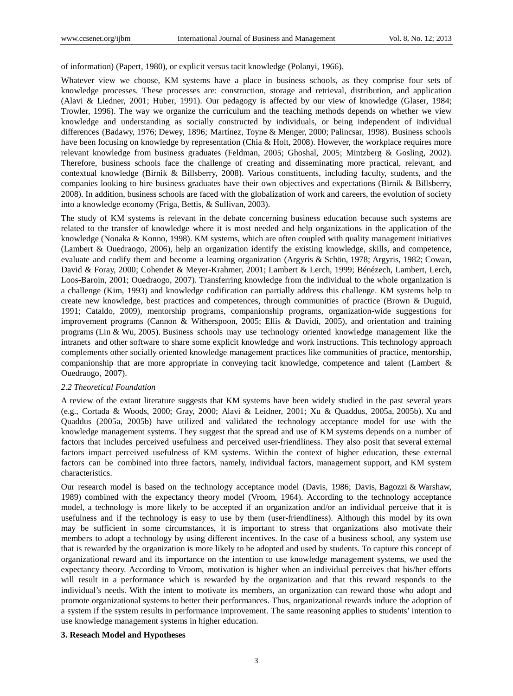of information) (Papert, 1980), or explicit versus tacit knowledge (Polanyi, 1966).

Whatever view we choose, KM systems have a place in business schools, as they comprise four sets of knowledge processes. These processes are: construction, storage and retrieval, distribution, and application (Alavi & Liedner, 2001; Huber, 1991). Our pedagogy is affected by our view of knowledge (Glaser, 1984; Trowler, 1996). The way we organize the curriculum and the teaching methods depends on whether we view knowledge and understanding as socially constructed by individuals, or being independent of individual differences (Badawy, 1976; Dewey, 1896; Martínez, Toyne & Menger, 2000; Palincsar, 1998). Business schools have been focusing on knowledge by representation (Chia & Holt, 2008). However, the workplace requires more relevant knowledge from business graduates (Feldman, 2005; Ghoshal, 2005; Mintzberg & Gosling, 2002). Therefore, business schools face the challenge of creating and disseminating more practical, relevant, and contextual knowledge (Birnik & Billsberry, 2008). Various constituents, including faculty, students, and the companies looking to hire business graduates have their own objectives and expectations (Birnik & Billsberry, 2008). In addition, business schools are faced with the globalization of work and careers, the evolution of society into a knowledge economy (Friga, Bettis, & Sullivan, 2003).

The study of KM systems is relevant in the debate concerning business education because such systems are related to the transfer of knowledge where it is most needed and help organizations in the application of the knowledge (Nonaka & Konno, 1998). KM systems, which are often coupled with quality management initiatives (Lambert & Ouedraogo, 2006), help an organization identify the existing knowledge, skills, and competence, evaluate and codify them and become a learning organization (Argyris & Schön, 1978; Argyris, 1982; Cowan, David & Foray, 2000; Cohendet & Meyer-Krahmer, 2001; Lambert & Lerch, 1999; Bénézech, Lambert, Lerch, Loos-Baroin, 2001; Ouedraogo, 2007). Transferring knowledge from the individual to the whole organization is a challenge (Kim, 1993) and knowledge codification can partially address this challenge. KM systems help to create new knowledge, best practices and competences, through communities of practice (Brown & Duguid, 1991; Cataldo, 2009), mentorship programs, companionship programs, organization-wide suggestions for improvement programs (Cannon & Witherspoon, 2005; Ellis & Davidi, 2005), and orientation and training programs (Lin & Wu, 2005). Business schools may use technology oriented knowledge management like the intranets and other software to share some explicit knowledge and work instructions. This technology approach complements other socially oriented knowledge management practices like communities of practice, mentorship, companionship that are more appropriate in conveying tacit knowledge, competence and talent (Lambert & Ouedraogo, 2007).

### *2.2 Theoretical Foundation*

A review of the extant literature suggests that KM systems have been widely studied in the past several years (e.g., Cortada & Woods, 2000; Gray, 2000; Alavi & Leidner, 2001; Xu & Quaddus, 2005a, 2005b). Xu and Quaddus (2005a, 2005b) have utilized and validated the technology acceptance model for use with the knowledge management systems. They suggest that the spread and use of KM systems depends on a number of factors that includes perceived usefulness and perceived user-friendliness. They also posit that several external factors impact perceived usefulness of KM systems. Within the context of higher education, these external factors can be combined into three factors, namely, individual factors, management support, and KM system characteristics.

Our research model is based on the technology acceptance model (Davis, 1986; Davis, Bagozzi & Warshaw, 1989) combined with the expectancy theory model (Vroom, 1964). According to the technology acceptance model, a technology is more likely to be accepted if an organization and/or an individual perceive that it is usefulness and if the technology is easy to use by them (user-friendliness). Although this model by its own may be sufficient in some circumstances, it is important to stress that organizations also motivate their members to adopt a technology by using different incentives. In the case of a business school, any system use that is rewarded by the organization is more likely to be adopted and used by students. To capture this concept of organizational reward and its importance on the intention to use knowledge management systems, we used the expectancy theory. According to Vroom, motivation is higher when an individual perceives that his/her efforts will result in a performance which is rewarded by the organization and that this reward responds to the individual's needs. With the intent to motivate its members, an organization can reward those who adopt and promote organizational systems to better their performances. Thus, organizational rewards induce the adoption of a system if the system results in performance improvement. The same reasoning applies to students' intention to use knowledge management systems in higher education.

# **3. Reseach Model and Hypotheses**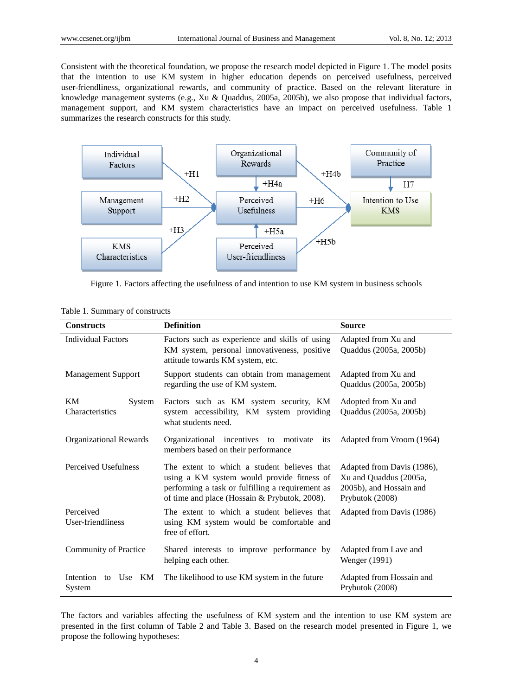Consistent with the theoretical foundation, we propose the research model depicted in Figure 1. The model posits that the intention to use KM system in higher education depends on perceived usefulness, perceived user-friendliness, organizational rewards, and community of practice. Based on the relevant literature in knowledge management systems (e.g., Xu & Quaddus, 2005a, 2005b), we also propose that individual factors, management support, and KM system characteristics have an impact on perceived usefulness. Table 1 summarizes the research constructs for this study.



Figure 1. Factors affecting the usefulness of and intention to use KM system in business schools

| <b>Constructs</b>                | <b>Definition</b>                                                                                                                                                                              | <b>Source</b>                                                                                      |  |  |  |  |
|----------------------------------|------------------------------------------------------------------------------------------------------------------------------------------------------------------------------------------------|----------------------------------------------------------------------------------------------------|--|--|--|--|
| <b>Individual Factors</b>        | Factors such as experience and skills of using<br>KM system, personal innovativeness, positive<br>attitude towards KM system, etc.                                                             | Adapted from Xu and<br>Quaddus (2005a, 2005b)                                                      |  |  |  |  |
| <b>Management Support</b>        | Support students can obtain from management<br>regarding the use of KM system.                                                                                                                 | Adapted from Xu and<br>Quaddus (2005a, 2005b)                                                      |  |  |  |  |
| KM<br>System<br>Characteristics  | Factors such as KM system security, KM<br>Adopted from Xu and<br>Quaddus (2005a, 2005b)<br>system accessibility, KM system providing<br>what students need.                                    |                                                                                                    |  |  |  |  |
| <b>Organizational Rewards</b>    | Organizational incentives to motivate its<br>members based on their performance                                                                                                                | Adapted from Vroom (1964)                                                                          |  |  |  |  |
| Perceived Usefulness             | The extent to which a student believes that<br>using a KM system would provide fitness of<br>performing a task or fulfilling a requirement as<br>of time and place (Hossain & Prybutok, 2008). | Adapted from Davis (1986),<br>Xu and Quaddus (2005a,<br>2005b), and Hossain and<br>Prybutok (2008) |  |  |  |  |
| Perceived<br>User-friendliness   | The extent to which a student believes that<br>using KM system would be comfortable and<br>free of effort.                                                                                     | Adapted from Davis (1986)                                                                          |  |  |  |  |
| Community of Practice            | Shared interests to improve performance by<br>helping each other.                                                                                                                              | Adapted from Lave and<br>Wenger (1991)                                                             |  |  |  |  |
| Intention to<br>Use KM<br>System | The likelihood to use KM system in the future                                                                                                                                                  | Adapted from Hossain and<br>Prybutok (2008)                                                        |  |  |  |  |

### Table 1. Summary of constructs

The factors and variables affecting the usefulness of KM system and the intention to use KM system are presented in the first column of Table 2 and Table 3. Based on the research model presented in Figure 1, we propose the following hypotheses: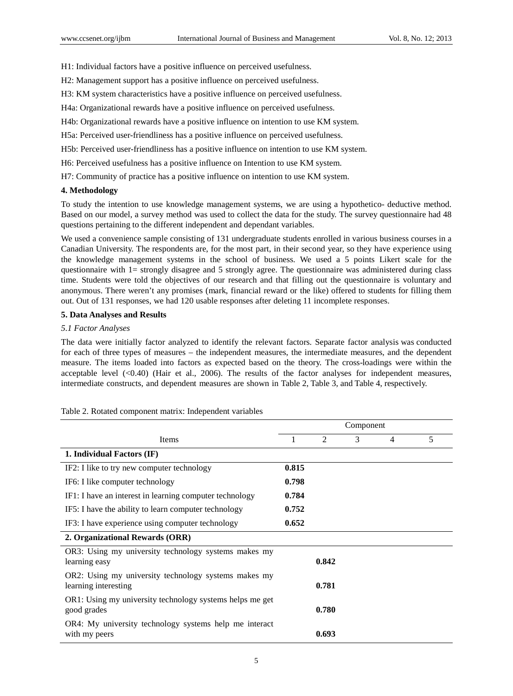H1: Individual factors have a positive influence on perceived usefulness.

H2: Management support has a positive influence on perceived usefulness.

H3: KM system characteristics have a positive influence on perceived usefulness.

H4a: Organizational rewards have a positive influence on perceived usefulness.

H4b: Organizational rewards have a positive influence on intention to use KM system.

H5a: Perceived user-friendliness has a positive influence on perceived usefulness.

H5b: Perceived user-friendliness has a positive influence on intention to use KM system.

H6: Perceived usefulness has a positive influence on Intention to use KM system.

H7: Community of practice has a positive influence on intention to use KM system.

# **4. Methodology**

To study the intention to use knowledge management systems, we are using a hypothetico- deductive method. Based on our model, a survey method was used to collect the data for the study. The survey questionnaire had 48 questions pertaining to the different independent and dependant variables.

We used a convenience sample consisting of 131 undergraduate students enrolled in various business courses in a Canadian University. The respondents are, for the most part, in their second year, so they have experience using the knowledge management systems in the school of business. We used a 5 points Likert scale for the questionnaire with 1= strongly disagree and 5 strongly agree. The questionnaire was administered during class time. Students were told the objectives of our research and that filling out the questionnaire is voluntary and anonymous. There weren't any promises (mark, financial reward or the like) offered to students for filling them out. Out of 131 responses, we had 120 usable responses after deleting 11 incomplete responses.

### **5. Data Analyses and Results**

# *5.1 Factor Analyses*

The data were initially factor analyzed to identify the relevant factors. Separate factor analysis was conducted for each of three types of measures – the independent measures, the intermediate measures, and the dependent measure. The items loaded into factors as expected based on the theory. The cross-loadings were within the acceptable level (<0.40) (Hair et al., 2006). The results of the factor analyses for independent measures, intermediate constructs, and dependent measures are shown in Table 2, Table 3, and Table 4, respectively.

|                                                                              | Component |       |               |   |   |
|------------------------------------------------------------------------------|-----------|-------|---------------|---|---|
| Items                                                                        |           | 2     | $\mathcal{F}$ | 4 | 5 |
| 1. Individual Factors (IF)                                                   |           |       |               |   |   |
| IF2: I like to try new computer technology                                   | 0.815     |       |               |   |   |
| IF6: I like computer technology                                              | 0.798     |       |               |   |   |
| IF1: I have an interest in learning computer technology                      | 0.784     |       |               |   |   |
| IF5: I have the ability to learn computer technology                         | 0.752     |       |               |   |   |
| IF3: I have experience using computer technology                             | 0.652     |       |               |   |   |
| 2. Organizational Rewards (ORR)                                              |           |       |               |   |   |
| OR3: Using my university technology systems makes my<br>learning easy        |           | 0.842 |               |   |   |
| OR2: Using my university technology systems makes my<br>learning interesting |           | 0.781 |               |   |   |
| OR1: Using my university technology systems helps me get<br>good grades      |           | 0.780 |               |   |   |
| OR4: My university technology systems help me interact<br>with my peers      |           | 0.693 |               |   |   |

### Table 2. Rotated component matrix: Independent variables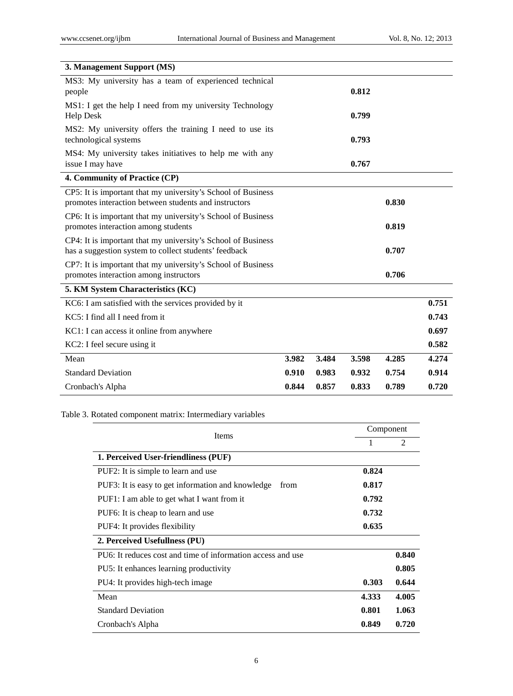| 3. Management Support (MS)                                                                                            |       |       |       |       |       |
|-----------------------------------------------------------------------------------------------------------------------|-------|-------|-------|-------|-------|
| MS3: My university has a team of experienced technical<br>people                                                      |       |       | 0.812 |       |       |
| MS1: I get the help I need from my university Technology<br><b>Help Desk</b>                                          |       |       | 0.799 |       |       |
| MS2: My university offers the training I need to use its<br>technological systems                                     |       |       | 0.793 |       |       |
| MS4: My university takes initiatives to help me with any<br>issue I may have                                          |       |       | 0.767 |       |       |
| 4. Community of Practice (CP)                                                                                         |       |       |       |       |       |
| CP5: It is important that my university's School of Business<br>promotes interaction between students and instructors |       |       |       | 0.830 |       |
| CP6: It is important that my university's School of Business<br>promotes interaction among students                   |       |       |       | 0.819 |       |
| CP4: It is important that my university's School of Business<br>has a suggestion system to collect students' feedback |       |       |       | 0.707 |       |
| CP7: It is important that my university's School of Business<br>promotes interaction among instructors                |       |       |       | 0.706 |       |
| 5. KM System Characteristics (KC)                                                                                     |       |       |       |       |       |
| KC6: I am satisfied with the services provided by it                                                                  |       |       |       |       | 0.751 |
| KC5: I find all I need from it                                                                                        |       |       |       |       | 0.743 |
| KC1: I can access it online from anywhere                                                                             |       |       |       |       | 0.697 |
| KC2: I feel secure using it                                                                                           |       |       |       |       | 0.582 |
| Mean                                                                                                                  | 3.982 | 3.484 | 3.598 | 4.285 | 4.274 |
| <b>Standard Deviation</b>                                                                                             | 0.910 | 0.983 | 0.932 | 0.754 | 0.914 |
| Cronbach's Alpha                                                                                                      | 0.844 | 0.857 | 0.833 | 0.789 | 0.720 |

# Table 3. Rotated component matrix: Intermediary variables

| Items                                                       | Component |                |
|-------------------------------------------------------------|-----------|----------------|
|                                                             | 1         | $\mathfrak{D}$ |
| 1. Perceived User-friendliness (PUF)                        |           |                |
| PUF2: It is simple to learn and use                         | 0.824     |                |
| PUF3: It is easy to get information and knowledge<br>from   | 0.817     |                |
| PUF1: I am able to get what I want from it                  | 0.792     |                |
| PUF6: It is cheap to learn and use                          | 0.732     |                |
| PUF4: It provides flexibility                               | 0.635     |                |
| 2. Perceived Usefullness (PU)                               |           |                |
| PU6: It reduces cost and time of information access and use |           | 0.840          |
| PU5: It enhances learning productivity                      |           | 0.805          |
| PU4: It provides high-tech image                            | 0.303     | 0.644          |
| Mean                                                        | 4.333     | 4.005          |
| <b>Standard Deviation</b>                                   | 0.801     | 1.063          |
| Cronbach's Alpha                                            | 0.849     | 0.720          |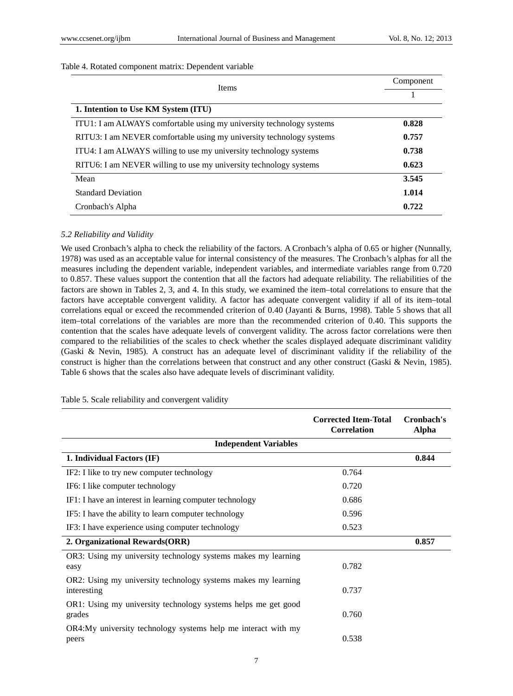# Table 4. Rotated component matrix: Dependent variable

| <b>Items</b>                                                         | Component |
|----------------------------------------------------------------------|-----------|
|                                                                      |           |
| 1. Intention to Use KM System (ITU)                                  |           |
| ITU1: I am ALWAYS comfortable using my university technology systems | 0.828     |
| RITU3: I am NEVER comfortable using my university technology systems | 0.757     |
| ITU4: I am ALWAYS willing to use my university technology systems    | 0.738     |
| RITU6: I am NEVER willing to use my university technology systems    | 0.623     |
| Mean                                                                 | 3.545     |
| <b>Standard Deviation</b>                                            | 1.014     |
| Cronbach's Alpha                                                     | 0.722     |

# *5.2 Reliability and Validity*

We used Cronbach's alpha to check the reliability of the factors. A Cronbach's alpha of 0.65 or higher (Nunnally, 1978) was used as an acceptable value for internal consistency of the measures. The Cronbach's alphas for all the measures including the dependent variable, independent variables, and intermediate variables range from 0.720 to 0.857. These values support the contention that all the factors had adequate reliability. The reliabilities of the factors are shown in Tables 2, 3, and 4. In this study, we examined the item–total correlations to ensure that the factors have acceptable convergent validity. A factor has adequate convergent validity if all of its item–total correlations equal or exceed the recommended criterion of 0.40 (Jayanti & Burns, 1998). Table 5 shows that all item–total correlations of the variables are more than the recommended criterion of 0.40. This supports the contention that the scales have adequate levels of convergent validity. The across factor correlations were then compared to the reliabilities of the scales to check whether the scales displayed adequate discriminant validity (Gaski & Nevin, 1985). A construct has an adequate level of discriminant validity if the reliability of the construct is higher than the correlations between that construct and any other construct (Gaski & Nevin, 1985). Table 6 shows that the scales also have adequate levels of discriminant validity.

|                                                                              | <b>Corrected Item-Total</b><br><b>Correlation</b> | Cronbach's<br><b>Alpha</b> |
|------------------------------------------------------------------------------|---------------------------------------------------|----------------------------|
| <b>Independent Variables</b>                                                 |                                                   |                            |
| 1. Individual Factors (IF)                                                   |                                                   | 0.844                      |
| IF2: I like to try new computer technology                                   | 0.764                                             |                            |
| IF6: I like computer technology                                              | 0.720                                             |                            |
| IF1: I have an interest in learning computer technology                      | 0.686                                             |                            |
| IF5: I have the ability to learn computer technology                         | 0.596                                             |                            |
| IF3: I have experience using computer technology                             | 0.523                                             |                            |
| 2. Organizational Rewards(ORR)                                               |                                                   | 0.857                      |
| OR3: Using my university technology systems makes my learning<br>easy        | 0.782                                             |                            |
| OR2: Using my university technology systems makes my learning<br>interesting | 0.737                                             |                            |
| OR1: Using my university technology systems helps me get good<br>grades      | 0.760                                             |                            |
| OR4:My university technology systems help me interact with my<br>peers       | 0.538                                             |                            |

### Table 5. Scale reliability and convergent validity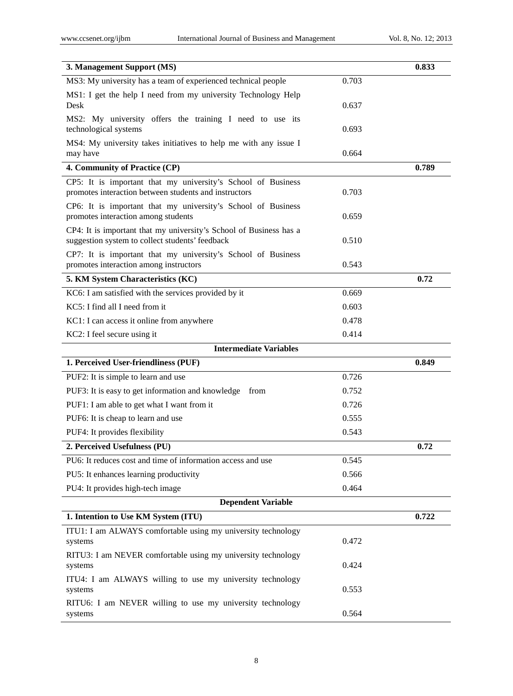| 3. Management Support (MS)                                                                                            |       | 0.833 |
|-----------------------------------------------------------------------------------------------------------------------|-------|-------|
| MS3: My university has a team of experienced technical people                                                         | 0.703 |       |
| MS1: I get the help I need from my university Technology Help<br>Desk                                                 | 0.637 |       |
| MS2: My university offers the training I need to use its<br>technological systems                                     | 0.693 |       |
| MS4: My university takes initiatives to help me with any issue I<br>may have                                          | 0.664 |       |
| 4. Community of Practice (CP)                                                                                         |       | 0.789 |
| CP5: It is important that my university's School of Business<br>promotes interaction between students and instructors | 0.703 |       |
| CP6: It is important that my university's School of Business<br>promotes interaction among students                   | 0.659 |       |
| CP4: It is important that my university's School of Business has a<br>suggestion system to collect students' feedback | 0.510 |       |
| CP7: It is important that my university's School of Business<br>promotes interaction among instructors                | 0.543 |       |
| 5. KM System Characteristics (KC)                                                                                     |       | 0.72  |
| KC6: I am satisfied with the services provided by it                                                                  | 0.669 |       |
| KC5: I find all I need from it                                                                                        | 0.603 |       |
| KC1: I can access it online from anywhere                                                                             | 0.478 |       |
| KC2: I feel secure using it                                                                                           | 0.414 |       |
| <b>Intermediate Variables</b>                                                                                         |       |       |
| 1. Perceived User-friendliness (PUF)                                                                                  |       | 0.849 |
| PUF2: It is simple to learn and use                                                                                   | 0.726 |       |
| PUF3: It is easy to get information and knowledge from                                                                | 0.752 |       |
| PUF1: I am able to get what I want from it                                                                            | 0.726 |       |
| PUF6: It is cheap to learn and use                                                                                    | 0.555 |       |
| PUF4: It provides flexibility                                                                                         | 0.543 |       |
| 2. Perceived Usefulness (PU)                                                                                          |       | 0.72  |
| PU6: It reduces cost and time of information access and use                                                           | 0.545 |       |
| PU5: It enhances learning productivity                                                                                | 0.566 |       |
| PU4: It provides high-tech image                                                                                      | 0.464 |       |
| <b>Dependent Variable</b>                                                                                             |       |       |
| 1. Intention to Use KM System (ITU)                                                                                   |       | 0.722 |
| ITU1: I am ALWAYS comfortable using my university technology<br>systems                                               | 0.472 |       |
| RITU3: I am NEVER comfortable using my university technology<br>systems                                               | 0.424 |       |
| ITU4: I am ALWAYS willing to use my university technology<br>systems                                                  | 0.553 |       |
| RITU6: I am NEVER willing to use my university technology<br>systems                                                  | 0.564 |       |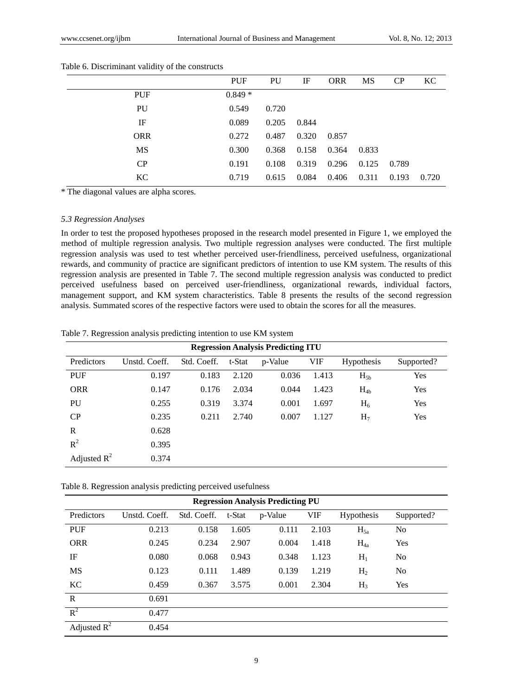|            | <b>PUF</b> | PU    | IF    | <b>ORR</b> | MS    | CP    | KC    |
|------------|------------|-------|-------|------------|-------|-------|-------|
| <b>PUF</b> | $0.849*$   |       |       |            |       |       |       |
| PU         | 0.549      | 0.720 |       |            |       |       |       |
| IF         | 0.089      | 0.205 | 0.844 |            |       |       |       |
| <b>ORR</b> | 0.272      | 0.487 | 0.320 | 0.857      |       |       |       |
| MS         | 0.300      | 0.368 | 0.158 | 0.364      | 0.833 |       |       |
| CP         | 0.191      | 0.108 | 0.319 | 0.296      | 0.125 | 0.789 |       |
| KC         | 0.719      | 0.615 | 0.084 | 0.406      | 0.311 | 0.193 | 0.720 |

### Table 6. Discriminant validity of the constructs

\* The diagonal values are alpha scores.

# *5.3 Regression Analyses*

In order to test the proposed hypotheses proposed in the research model presented in Figure 1, we employed the method of multiple regression analysis. Two multiple regression analyses were conducted. The first multiple regression analysis was used to test whether perceived user-friendliness, perceived usefulness, organizational rewards, and community of practice are significant predictors of intention to use KM system. The results of this regression analysis are presented in Table 7. The second multiple regression analysis was conducted to predict perceived usefulness based on perceived user-friendliness, organizational rewards, individual factors, management support, and KM system characteristics. Table 8 presents the results of the second regression analysis. Summated scores of the respective factors were used to obtain the scores for all the measures.

Table 7. Regression analysis predicting intention to use KM system

| <b>Regression Analysis Predicting ITU</b> |               |             |        |         |       |                   |            |  |  |
|-------------------------------------------|---------------|-------------|--------|---------|-------|-------------------|------------|--|--|
| Predictors                                | Unstd. Coeff. | Std. Coeff. | t-Stat | p-Value | VIF   | <b>Hypothesis</b> | Supported? |  |  |
| <b>PUF</b>                                | 0.197         | 0.183       | 2.120  | 0.036   | 1.413 | $H_{5b}$          | Yes        |  |  |
| <b>ORR</b>                                | 0.147         | 0.176       | 2.034  | 0.044   | 1.423 | $H_{4b}$          | Yes        |  |  |
| PU                                        | 0.255         | 0.319       | 3.374  | 0.001   | 1.697 | H <sub>6</sub>    | Yes        |  |  |
| CP                                        | 0.235         | 0.211       | 2.740  | 0.007   | 1.127 | H <sub>7</sub>    | Yes        |  |  |
| $\mathbb{R}$                              | 0.628         |             |        |         |       |                   |            |  |  |
| $R^2$                                     | 0.395         |             |        |         |       |                   |            |  |  |
| Adjusted $R^2$                            | 0.374         |             |        |         |       |                   |            |  |  |

Table 8. Regression analysis predicting perceived usefulness

| <b>Regression Analysis Predicting PU</b> |               |             |        |         |            |                   |                |  |  |
|------------------------------------------|---------------|-------------|--------|---------|------------|-------------------|----------------|--|--|
| Predictors                               | Unstd. Coeff. | Std. Coeff. | t-Stat | p-Value | <b>VIF</b> | <b>Hypothesis</b> | Supported?     |  |  |
| <b>PUF</b>                               | 0.213         | 0.158       | 1.605  | 0.111   | 2.103      | $H_{5a}$          | No             |  |  |
| <b>ORR</b>                               | 0.245         | 0.234       | 2.907  | 0.004   | 1.418      | $H_{4a}$          | Yes            |  |  |
| IF                                       | 0.080         | 0.068       | 0.943  | 0.348   | 1.123      | $H_1$             | N <sub>0</sub> |  |  |
| <b>MS</b>                                | 0.123         | 0.111       | 1.489  | 0.139   | 1.219      | H <sub>2</sub>    | N <sub>0</sub> |  |  |
| KC                                       | 0.459         | 0.367       | 3.575  | 0.001   | 2.304      | $H_3$             | Yes            |  |  |
| $\mathbf R$                              | 0.691         |             |        |         |            |                   |                |  |  |
| $R^2$                                    | 0.477         |             |        |         |            |                   |                |  |  |
| Adjusted $R^2$                           | 0.454         |             |        |         |            |                   |                |  |  |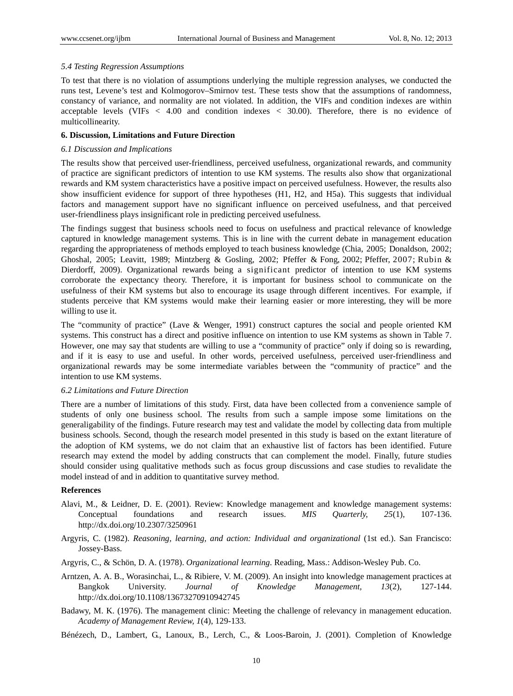# *5.4 Testing Regression Assumptions*

To test that there is no violation of assumptions underlying the multiple regression analyses, we conducted the runs test, Levene's test and Kolmogorov–Smirnov test. These tests show that the assumptions of randomness, constancy of variance, and normality are not violated. In addition, the VIFs and condition indexes are within acceptable levels (VIFs *<* 4.00 and condition indexes *<* 30.00). Therefore, there is no evidence of multicollinearity.

# **6. Discussion, Limitations and Future Direction**

### *6.1 Discussion and Implications*

The results show that perceived user-friendliness, perceived usefulness, organizational rewards, and community of practice are significant predictors of intention to use KM systems. The results also show that organizational rewards and KM system characteristics have a positive impact on perceived usefulness. However, the results also show insufficient evidence for support of three hypotheses (H1, H2, and H5a). This suggests that individual factors and management support have no significant influence on perceived usefulness, and that perceived user-friendliness plays insignificant role in predicting perceived usefulness.

The findings suggest that business schools need to focus on usefulness and practical relevance of knowledge captured in knowledge management systems. This is in line with the current debate in management education regarding the appropriateness of methods employed to teach business knowledge (Chia, 2005; Donaldson, 2002; Ghoshal, 2005; Leavitt, 1989; Mintzberg & Gosling, 2002; Pfeffer & Fong, 2002; Pfeffer, 2007; Rubin & Dierdorff, 2009). Organizational rewards being a significant predictor of intention to use KM systems corroborate the expectancy theory. Therefore, it is important for business school to communicate on the usefulness of their KM systems but also to encourage its usage through different incentives. For example, if students perceive that KM systems would make their learning easier or more interesting, they will be more willing to use it.

The "community of practice" (Lave & Wenger, 1991) construct captures the social and people oriented KM systems. This construct has a direct and positive influence on intention to use KM systems as shown in Table 7. However, one may say that students are willing to use a "community of practice" only if doing so is rewarding, and if it is easy to use and useful. In other words, perceived usefulness, perceived user-friendliness and organizational rewards may be some intermediate variables between the "community of practice" and the intention to use KM systems.

# *6.2 Limitations and Future Direction*

There are a number of limitations of this study. First, data have been collected from a convenience sample of students of only one business school. The results from such a sample impose some limitations on the generaligability of the findings. Future research may test and validate the model by collecting data from multiple business schools. Second, though the research model presented in this study is based on the extant literature of the adoption of KM systems, we do not claim that an exhaustive list of factors has been identified. Future research may extend the model by adding constructs that can complement the model. Finally, future studies should consider using qualitative methods such as focus group discussions and case studies to revalidate the model instead of and in addition to quantitative survey method.

### **References**

- Alavi, M., & Leidner, D. E. (2001). Review: Knowledge management and knowledge management systems: Conceptual foundations and research issues. *MIS Quarterly, 25*(1), 107-136. http://dx.doi.org/10.2307/3250961
- Argyris, C. (1982). *Reasoning, learning, and action: Individual and organizational* (1st ed.). San Francisco: Jossey-Bass.
- Argyris, C., & Schön, D. A. (1978). *Organizational learning*. Reading, Mass.: Addison-Wesley Pub. Co.
- Arntzen, A. A. B., Worasinchai, L., & Ribiere, V. M. (2009). An insight into knowledge management practices at Bangkok University. *Journal of Knowledge Management, 13*(2), 127-144. http://dx.doi.org/10.1108/13673270910942745
- Badawy, M. K. (1976). The management clinic: Meeting the challenge of relevancy in management education. *Academy of Management Review, 1*(4), 129-133.
- Bénézech, D., Lambert, G., Lanoux, B., Lerch, C., & Loos-Baroin, J. (2001). Completion of Knowledge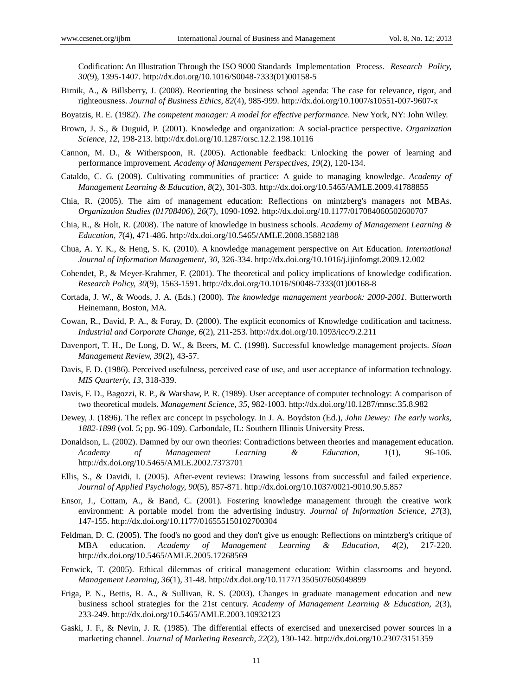Codification: An Illustration Through the ISO 9000 Standards Implementation Process. *Research Policy, 30*(9), 1395-1407. http://dx.doi.org/10.1016/S0048-7333(01)00158-5

Birnik, A., & Billsberry, J. (2008). Reorienting the business school agenda: The case for relevance, rigor, and righteousness. *Journal of Business Ethics, 82*(4), 985-999. http://dx.doi.org/10.1007/s10551-007-9607-x

Boyatzis, R. E. (1982). *The competent manager: A model for effective performance*. New York, NY: John Wiley.

- Brown, J. S., & Duguid, P. (2001). Knowledge and organization: A social-practice perspective. *Organization Science, 12*, 198-213. http://dx.doi.org/10.1287/orsc.12.2.198.10116
- Cannon, M. D., & Witherspoon, R. (2005). Actionable feedback: Unlocking the power of learning and performance improvement. *Academy of Management Perspectives, 19*(2), 120-134.
- Cataldo, C. G. (2009). Cultivating communities of practice: A guide to managing knowledge. *Academy of Management Learning & Education, 8*(2), 301-303. http://dx.doi.org/10.5465/AMLE.2009.41788855
- Chia, R. (2005). The aim of management education: Reflections on mintzberg's managers not MBAs. *Organization Studies (01708406), 26*(7), 1090-1092. http://dx.doi.org/10.1177/017084060502600707
- Chia, R., & Holt, R. (2008). The nature of knowledge in business schools. *Academy of Management Learning & Education, 7*(4), 471-486. http://dx.doi.org/10.5465/AMLE.2008.35882188
- Chua, A. Y. K., & Heng, S. K. (2010). A knowledge management perspective on Art Education. *International Journal of Information Management, 30*, 326-334. http://dx.doi.org/10.1016/j.ijinfomgt.2009.12.002
- Cohendet, P., & Meyer-Krahmer, F. (2001). The theoretical and policy implications of knowledge codification. *Research Policy, 30*(9), 1563-1591. http://dx.doi.org/10.1016/S0048-7333(01)00168-8
- Cortada, J. W., & Woods, J. A. (Eds.) (2000). *The knowledge management yearbook: 2000-2001*. Butterworth Heinemann, Boston, MA.
- Cowan, R., David, P. A., & Foray, D. (2000). The explicit economics of Knowledge codification and tacitness. *Industrial and Corporate Change, 6*(2), 211-253. http://dx.doi.org/10.1093/icc/9.2.211
- Davenport, T. H., De Long, D. W., & Beers, M. C. (1998). Successful knowledge management projects. *Sloan Management Review, 39*(2), 43-57.
- Davis, F. D. (1986). Perceived usefulness, perceived ease of use, and user acceptance of information technology. *MIS Quarterly, 13*, 318-339.
- Davis, F. D., Bagozzi, R. P., & Warshaw, P. R. (1989). User acceptance of computer technology: A comparison of two theoretical models. *Management Science, 35*, 982-1003. http://dx.doi.org/10.1287/mnsc.35.8.982
- Dewey, J. (1896). The reflex arc concept in psychology. In J. A. Boydston (Ed.), *John Dewey: The early works, 1882-1898* (vol. 5; pp. 96-109). Carbondale, IL: Southern Illinois University Press.
- Donaldson, L. (2002). Damned by our own theories: Contradictions between theories and management education. *Academy of Management Learning & Education, 1*(1), 96-106. http://dx.doi.org/10.5465/AMLE.2002.7373701
- Ellis, S., & Davidi, I. (2005). After-event reviews: Drawing lessons from successful and failed experience. *Journal of Applied Psychology, 90*(5), 857-871. http://dx.doi.org/10.1037/0021-9010.90.5.857
- Ensor, J., Cottam, A., & Band, C. (2001). Fostering knowledge management through the creative work environment: A portable model from the advertising industry. *Journal of Information Science, 27*(3), 147-155. http://dx.doi.org/10.1177/016555150102700304
- Feldman, D. C. (2005). The food's no good and they don't give us enough: Reflections on mintzberg's critique of MBA education. *Academy of Management Learning & Education, 4*(2), 217-220. http://dx.doi.org/10.5465/AMLE.2005.17268569
- Fenwick, T. (2005). Ethical dilemmas of critical management education: Within classrooms and beyond. *Management Learning, 36*(1), 31-48. http://dx.doi.org/10.1177/1350507605049899
- Friga, P. N., Bettis, R. A., & Sullivan, R. S. (2003). Changes in graduate management education and new business school strategies for the 21st century. *Academy of Management Learning & Education, 2*(3), 233-249. http://dx.doi.org/10.5465/AMLE.2003.10932123
- Gaski, J. F., & Nevin, J. R. (1985). The differential effects of exercised and unexercised power sources in a marketing channel. *Journal of Marketing Research, 22*(2), 130-142. http://dx.doi.org/10.2307/3151359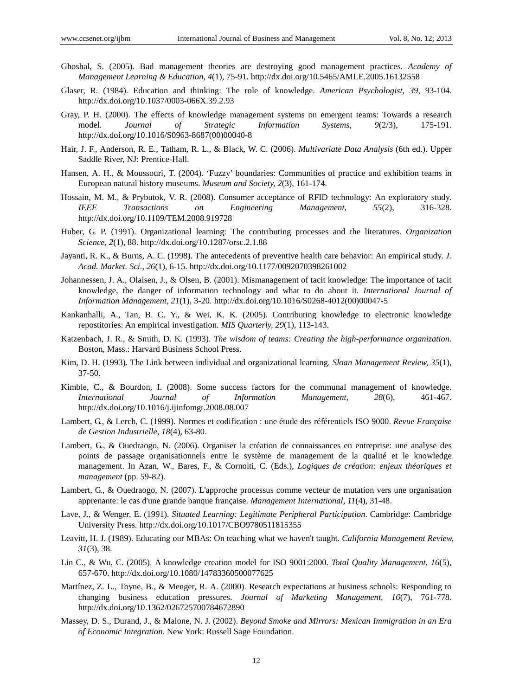- Ghoshal, S. (2005). Bad management theories are destroying good management practices. *Academy of Management Learning & Education, 4*(1), 75-91. http://dx.doi.org/10.5465/AMLE.2005.16132558
- Glaser, R. (1984). Education and thinking: The role of knowledge. *American Psychologist, 39*, 93-104. http://dx.doi.org/10.1037/0003-066X.39.2.93
- Gray, P. H. (2000). The effects of knowledge management systems on emergent teams: Towards a research model. *Journal of Strategic Information Systems, 9*(2/3), 175-191. http://dx.doi.org/10.1016/S0963-8687(00)00040-8
- Hair, J. F., Anderson, R. E., Tatham, R. L., & Black, W. C. (2006). *Multivariate Data Analysis* (6th ed.). Upper Saddle River, NJ: Prentice-Hall.
- Hansen, A. H., & Moussouri, T. (2004). 'Fuzzy' boundaries: Communities of practice and exhibition teams in European natural history museums. *Museum and Society, 2*(3), 161-174.
- Hossain, M. M., & Prybutok, V. R. (2008). Consumer acceptance of RFID technology: An exploratory study. *IEEE Transactions on Engineering Management, 55*(2), 316-328. http://dx.doi.org/10.1109/TEM.2008.919728
- Huber, G. P. (1991). Organizational learning: The contributing processes and the literatures. *Organization Science, 2*(1), 88. http://dx.doi.org/10.1287/orsc.2.1.88
- Jayanti, R. K., & Burns, A. C. (1998). The antecedents of preventive health care behavior: An empirical study. *J. Acad. Market. Sci., 26*(1), 6-15. http://dx.doi.org/10.1177/0092070398261002
- Johannessen, J. A., Olaisen, J., & Olsen, B. (2001). Mismanagement of tacit knowledge: The importance of tacit knowledge, the danger of information technology and what to do about it. *International Journal of Information Management, 21*(1), 3-20. http://dx.doi.org/10.1016/S0268-4012(00)00047-5
- Kankanhalli, A., Tan, B. C. Y., & Wei, K. K. (2005). Contributing knowledge to electronic knowledge repostitories: An empirical investigation. *MIS Quarterly, 29*(1), 113-143.
- Katzenbach, J. R., & Smith, D. K. (1993). *The wisdom of teams: Creating the high-performance organization.* Boston, Mass.: Harvard Business School Press.
- Kim, D. H. (1993). The Link between individual and organizational learning. *Sloan Management Review, 35*(1), 37-50.
- Kimble, C., & Bourdon, I. (2008). Some success factors for the communal management of knowledge. *International Journal of Information Management, 28*(6), 461-467. http://dx.doi.org/10.1016/j.ijinfomgt.2008.08.007
- Lambert, G., & Lerch, C. (1999). Normes et codification : une étude des référentiels ISO 9000. *Revue Française de Gestion Industrielle, 18*(4), 63-80.
- Lambert, G., & Ouedraogo, N. (2006). Organiser la création de connaissances en entreprise: une analyse des points de passage organisationnels entre le système de management de la qualité et le knowledge management. In Azan, W., Bares, F., & Cornolti, C. (Eds.), *Logiques de création: enjeux théoriques et management* (pp. 59-82).
- Lambert, G., & Ouedraogo, N. (2007). L'approche processus comme vecteur de mutation vers une organisation apprenante: le cas d'une grande banque française. *Management International, 11*(4), 31-48.
- Lave, J., & Wenger, E. (1991). *Situated Learning: Legitimate Peripheral Participation*. Cambridge: Cambridge University Press. http://dx.doi.org/10.1017/CBO9780511815355
- Leavitt, H. J. (1989). Educating our MBAs: On teaching what we haven't taught. *California Management Review, 31*(3), 38.
- Lin C., & Wu, C. (2005). A knowledge creation model for ISO 9001:2000. *Total Quality Management, 16*(5), 657-670. http://dx.doi.org/10.1080/14783360500077625
- Martínez, Z. L., Toyne, B., & Menger, R. A. (2000). Research expectations at business schools: Responding to changing business education pressures. *Journal of Marketing Management, 16*(7), 761-778. http://dx.doi.org/10.1362/026725700784672890
- Massey, D. S., Durand, J., & Malone, N. J. (2002). *Beyond Smoke and Mirrors: Mexican Immigration in an Era of Economic Integration*. New York: Russell Sage Foundation.